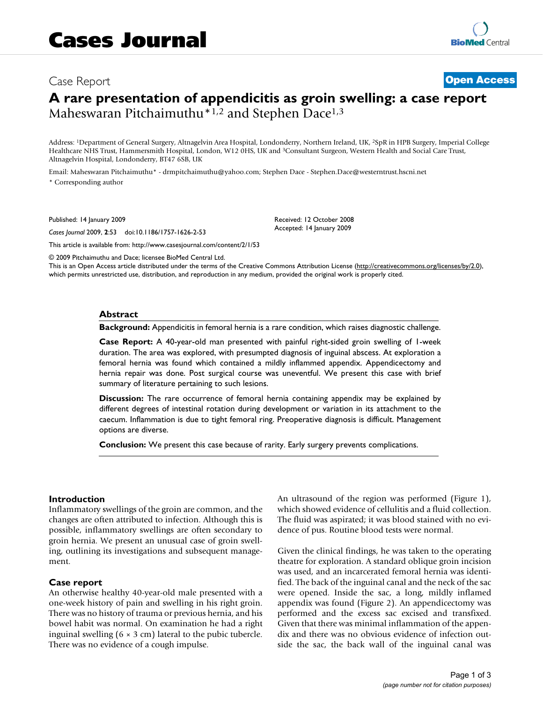# Case Report **[Open Access](http://www.biomedcentral.com/info/about/charter/) A rare presentation of appendicitis as groin swelling: a case report** Maheswaran Pitchaimuthu<sup>\*1,2</sup> and Stephen Dace<sup>1,3</sup>

Address: 1Department of General Surgery, Altnagelvin Area Hospital, Londonderry, Northern Ireland, UK, 2SpR in HPB Surgery, Imperial College Healthcare NHS Trust, Hammersmith Hospital, London, W12 0HS, UK and 3Consultant Surgeon, Western Health and Social Care Trust, Altnagelvin Hospital, Londonderry, BT47 6SB, UK

Email: Maheswaran Pitchaimuthu\* - drmpitchaimuthu@yahoo.com; Stephen Dace - Stephen.Dace@westerntrust.hscni.net \* Corresponding author

Published: 14 January 2009

*Cases Journal* 2009, **2**:53 doi:10.1186/1757-1626-2-53

[This article is available from: http://www.casesjournal.com/content/2/1/53](http://www.casesjournal.com/content/2/1/53)

© 2009 Pitchaimuthu and Dace; licensee BioMed Central Ltd.

This is an Open Access article distributed under the terms of the Creative Commons Attribution License [\(http://creativecommons.org/licenses/by/2.0\)](http://creativecommons.org/licenses/by/2.0), which permits unrestricted use, distribution, and reproduction in any medium, provided the original work is properly cited.

Received: 12 October 2008 Accepted: 14 January 2009

#### **Abstract**

**Background:** Appendicitis in femoral hernia is a rare condition, which raises diagnostic challenge.

**Case Report:** A 40-year-old man presented with painful right-sided groin swelling of 1-week duration. The area was explored, with presumpted diagnosis of inguinal abscess. At exploration a femoral hernia was found which contained a mildly inflammed appendix. Appendicectomy and hernia repair was done. Post surgical course was uneventful. We present this case with brief summary of literature pertaining to such lesions.

**Discussion:** The rare occurrence of femoral hernia containing appendix may be explained by different degrees of intestinal rotation during development or variation in its attachment to the caecum. Inflammation is due to tight femoral ring. Preoperative diagnosis is difficult. Management options are diverse.

**Conclusion:** We present this case because of rarity. Early surgery prevents complications.

## **Introduction**

Inflammatory swellings of the groin are common, and the changes are often attributed to infection. Although this is possible, inflammatory swellings are often secondary to groin hernia. We present an unusual case of groin swelling, outlining its investigations and subsequent management.

#### **Case report**

An otherwise healthy 40-year-old male presented with a one-week history of pain and swelling in his right groin. There was no history of trauma or previous hernia, and his bowel habit was normal. On examination he had a right inguinal swelling  $(6 \times 3 \text{ cm})$  lateral to the pubic tubercle. There was no evidence of a cough impulse.

An ultrasound of the region was performed (Figure 1), which showed evidence of cellulitis and a fluid collection. The fluid was aspirated; it was blood stained with no evidence of pus. Routine blood tests were normal.

Given the clinical findings, he was taken to the operating theatre for exploration. A standard oblique groin incision was used, and an incarcerated femoral hernia was identified. The back of the inguinal canal and the neck of the sac were opened. Inside the sac, a long, mildly inflamed appendix was found (Figure 2). An appendicectomy was performed and the excess sac excised and transfixed. Given that there was minimal inflammation of the appendix and there was no obvious evidence of infection outside the sac, the back wall of the inguinal canal was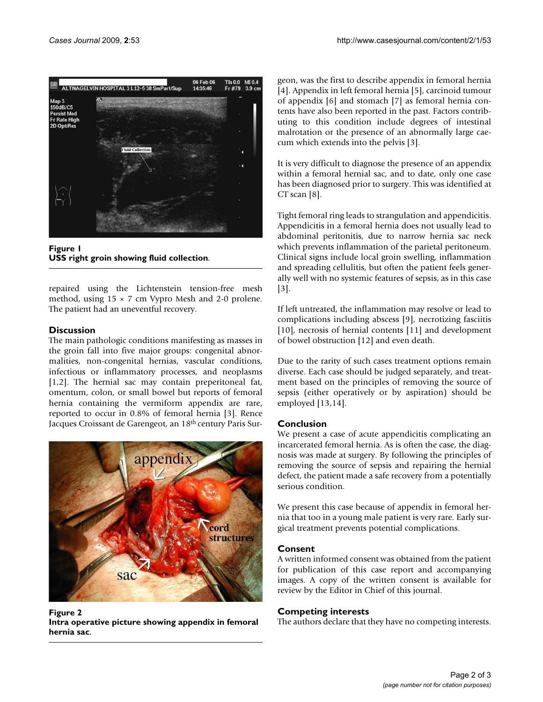

**Figure 1 USS right groin showing fluid collection**.

repaired using the Lichtenstein tension-free mesh method, using  $15 \times 7$  cm Vypro Mesh and 2-0 prolene. The patient had an uneventful recovery.

# **Discussion**

The main pathologic conditions manifesting as masses in the groin fall into five major groups: congenital abnormalities, non-congenital hernias, vascular conditions, infectious or inflammatory processes, and neoplasms [1,2]. The hernial sac may contain preperitoneal fat, omentum, colon, or small bowel but reports of femoral hernia containing the vermiform appendix are rare, reported to occur in 0.8% of femoral hernia [3]. Rence Jacques Croissant de Garengeot, an 18th century Paris Sur-



Figure 2 **Intra operative picture showing appendix in femoral hernia sac**.

geon, was the first to describe appendix in femoral hernia [4]. Appendix in left femoral hernia [5], carcinoid tumour of appendix [6] and stomach [7] as femoral hernia contents have also been reported in the past. Factors contributing to this condition include degrees of intestinal malrotation or the presence of an abnormally large caecum which extends into the pelvis [3].

It is very difficult to diagnose the presence of an appendix within a femoral hernial sac, and to date, only one case has been diagnosed prior to surgery. This was identified at CT scan  $[8]$ .

Tight femoral ring leads to strangulation and appendicitis. Appendicitis in a femoral hernia does not usually lead to abdominal peritonitis, due to narrow hernia sac neck which prevents inflammation of the parietal peritoneum. Clinical signs include local groin swelling, inflammation and spreading cellulitis, but often the patient feels generally well with no systemic features of sepsis, as in this case  $|3|$ .

If left untreated, the inflammation may resolve or lead to complications including abscess [9], necrotizing fasciitis [10], necrosis of hernial contents [11] and development of bowel obstruction [12] and even death.

Due to the rarity of such cases treatment options remain diverse. Each case should be judged separately, and treatment based on the principles of removing the source of sepsis (either operatively or by aspiration) should be employed [13,14].

# **Conclusion**

We present a case of acute appendicitis complicating an incarcerated femoral hernia. As is often the case, the diagnosis was made at surgery. By following the principles of removing the source of sepsis and repairing the hernial defect, the patient made a safe recovery from a potentially serious condition.

We present this case because of appendix in femoral hernia that too in a young male patient is very rare. Early surgical treatment prevents potential complications.

# **Consent**

A written informed consent was obtained from the patient for publication of this case report and accompanying images. A copy of the written consent is available for review by the Editor in Chief of this journal.

# **Competing interests**

The authors declare that they have no competing interests.